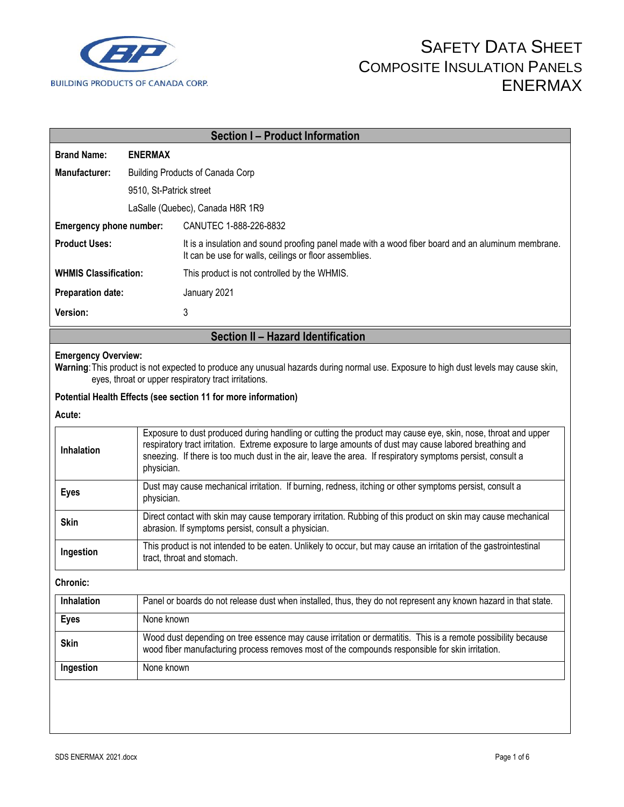

|                              |                                                                                                                                                                                                                                                                                                                                                     | <b>Section I - Product Information</b>                                                                                                                                                       |  |  |
|------------------------------|-----------------------------------------------------------------------------------------------------------------------------------------------------------------------------------------------------------------------------------------------------------------------------------------------------------------------------------------------------|----------------------------------------------------------------------------------------------------------------------------------------------------------------------------------------------|--|--|
| <b>Brand Name:</b>           | <b>ENERMAX</b>                                                                                                                                                                                                                                                                                                                                      |                                                                                                                                                                                              |  |  |
| Manufacturer:                | <b>Building Products of Canada Corp</b>                                                                                                                                                                                                                                                                                                             |                                                                                                                                                                                              |  |  |
| 9510, St-Patrick street      |                                                                                                                                                                                                                                                                                                                                                     |                                                                                                                                                                                              |  |  |
|                              |                                                                                                                                                                                                                                                                                                                                                     | LaSalle (Quebec), Canada H8R 1R9                                                                                                                                                             |  |  |
| Emergency phone number:      |                                                                                                                                                                                                                                                                                                                                                     | CANUTEC 1-888-226-8832                                                                                                                                                                       |  |  |
| <b>Product Uses:</b>         |                                                                                                                                                                                                                                                                                                                                                     | It is a insulation and sound proofing panel made with a wood fiber board and an aluminum membrane.<br>It can be use for walls, ceilings or floor assemblies.                                 |  |  |
| <b>WHMIS Classification:</b> |                                                                                                                                                                                                                                                                                                                                                     | This product is not controlled by the WHMIS.                                                                                                                                                 |  |  |
| <b>Preparation date:</b>     |                                                                                                                                                                                                                                                                                                                                                     | January 2021                                                                                                                                                                                 |  |  |
| Version:                     |                                                                                                                                                                                                                                                                                                                                                     | 3                                                                                                                                                                                            |  |  |
|                              |                                                                                                                                                                                                                                                                                                                                                     | Section II - Hazard Identification                                                                                                                                                           |  |  |
| <b>Emergency Overview:</b>   |                                                                                                                                                                                                                                                                                                                                                     | Warning: This product is not expected to produce any unusual hazards during normal use. Exposure to high dust levels may cause skin,<br>eyes, throat or upper respiratory tract irritations. |  |  |
|                              |                                                                                                                                                                                                                                                                                                                                                     | Potential Health Effects (see section 11 for more information)                                                                                                                               |  |  |
| Acute:                       |                                                                                                                                                                                                                                                                                                                                                     |                                                                                                                                                                                              |  |  |
| Inhalation                   | Exposure to dust produced during handling or cutting the product may cause eye, skin, nose, throat and upper<br>respiratory tract irritation. Extreme exposure to large amounts of dust may cause labored breathing and<br>sneezing. If there is too much dust in the air, leave the area. If respiratory symptoms persist, consult a<br>physician. |                                                                                                                                                                                              |  |  |
| <b>Eyes</b>                  | physician.                                                                                                                                                                                                                                                                                                                                          | Dust may cause mechanical irritation. If burning, redness, itching or other symptoms persist, consult a                                                                                      |  |  |
| <b>Skin</b>                  |                                                                                                                                                                                                                                                                                                                                                     | Direct contact with skin may cause temporary irritation. Rubbing of this product on skin may cause mechanical<br>abrasion. If symptoms persist, consult a physician.                         |  |  |
| Ingestion                    | This product is not intended to be eaten. Unlikely to occur, but may cause an irritation of the gastrointestinal<br>tract, throat and stomach.                                                                                                                                                                                                      |                                                                                                                                                                                              |  |  |
| Chronic:                     |                                                                                                                                                                                                                                                                                                                                                     |                                                                                                                                                                                              |  |  |
| Inhalation                   | Panel or boards do not release dust when installed, thus, they do not represent any known hazard in that state.                                                                                                                                                                                                                                     |                                                                                                                                                                                              |  |  |
| <b>Eyes</b>                  | None known                                                                                                                                                                                                                                                                                                                                          |                                                                                                                                                                                              |  |  |
| <b>Skin</b>                  | Wood dust depending on tree essence may cause irritation or dermatitis. This is a remote possibility because<br>wood fiber manufacturing process removes most of the compounds responsible for skin irritation.                                                                                                                                     |                                                                                                                                                                                              |  |  |
| Ingestion                    | None known                                                                                                                                                                                                                                                                                                                                          |                                                                                                                                                                                              |  |  |
|                              |                                                                                                                                                                                                                                                                                                                                                     |                                                                                                                                                                                              |  |  |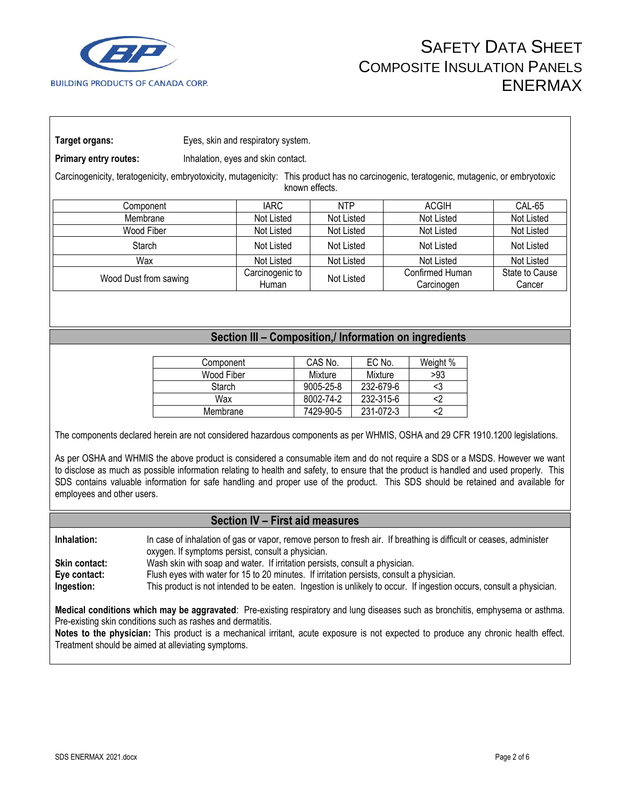

**Target organs:** Eyes, skin and respiratory system.

**Primary entry routes:** Inhalation, eyes and skin contact.

Carcinogenicity, teratogenicity, embryotoxicity, mutagenicity: This product has no carcinogenic, teratogenic, mutagenic, or embryotoxic known effects.

| Component             | <b>IARC</b>              | <b>NTP</b> | <b>ACGIH</b>                  | CAL-65                   |
|-----------------------|--------------------------|------------|-------------------------------|--------------------------|
| Membrane              | Not Listed               | Not Listed | Not Listed                    | Not Listed               |
| Wood Fiber            | Not Listed               | Not Listed | Not Listed                    | Not Listed               |
| Starch                | Not Listed               | Not Listed | Not Listed                    | Not Listed               |
| Wax                   | Not Listed               | Not Listed | Not Listed                    | Not Listed               |
| Wood Dust from sawing | Carcinogenic to<br>Human | Not Listed | Confirmed Human<br>Carcinogen | State to Cause<br>Cancer |

### **Section III – Composition,/ Information on ingredients**

| Component  | CAS No.         | EC No.    | Weight % |
|------------|-----------------|-----------|----------|
| Wood Fiber | Mixture         | Mixture   | >93      |
| Starch     | $9005 - 25 - 8$ | 232-679-6 | <3       |
| Wax        | 8002-74-2       | 232-315-6 |          |
| Membrane   | 7429-90-5       | 231-072-3 |          |

The components declared herein are not considered hazardous components as per WHMIS, OSHA and 29 CFR 1910.1200 legislations.

As per OSHA and WHMIS the above product is considered a consumable item and do not require a SDS or a MSDS. However we want to disclose as much as possible information relating to health and safety, to ensure that the product is handled and used properly. This SDS contains valuable information for safe handling and proper use of the product. This SDS should be retained and available for employees and other users.

### **Section IV – First aid measures**

**Inhalation:** In case of inhalation of gas or vapor, remove person to fresh air. If breathing is difficult or ceases, administer oxygen. If symptoms persist, consult a physician.

**Skin contact:** Wash skin with soap and water. If irritation persists, consult a physician.

**Eye contact:** Flush eyes with water for 15 to 20 minutes. If irritation persists, consult a physician.

**Ingestion:** This product is not intended to be eaten. Ingestion is unlikely to occur. If ingestion occurs, consult a physician.

**Medical conditions which may be aggravated**: Pre-existing respiratory and lung diseases such as bronchitis, emphysema or asthma. Pre-existing skin conditions such as rashes and dermatitis.

**Notes to the physician:** This product is a mechanical irritant, acute exposure is not expected to produce any chronic health effect. Treatment should be aimed at alleviating symptoms.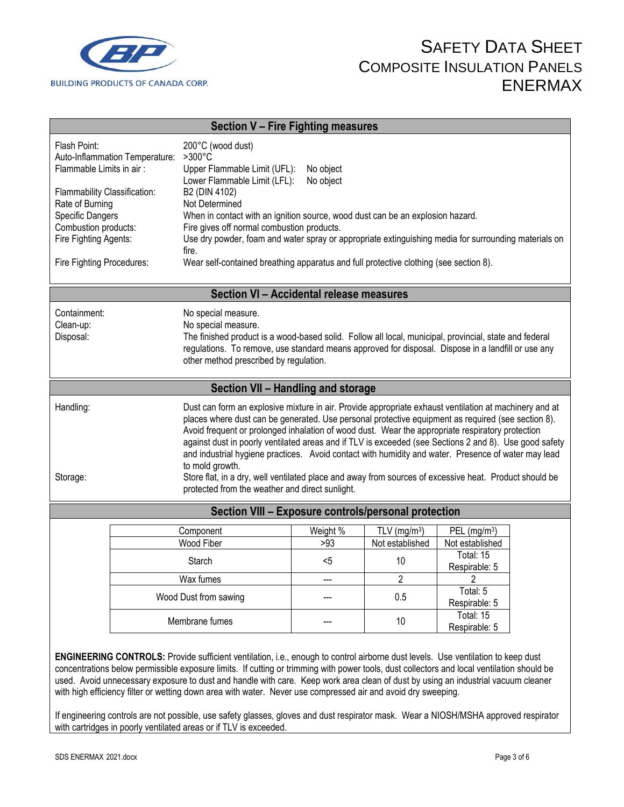

| Section V - Fire Fighting measures                                                                                                                                                                                                                                                                                                                                                                                                                                                                                                                                                                                                                                                                                                                     |                                                                                                                                                                                                                                                                                                      |                        |                                        |                                                                             |  |
|--------------------------------------------------------------------------------------------------------------------------------------------------------------------------------------------------------------------------------------------------------------------------------------------------------------------------------------------------------------------------------------------------------------------------------------------------------------------------------------------------------------------------------------------------------------------------------------------------------------------------------------------------------------------------------------------------------------------------------------------------------|------------------------------------------------------------------------------------------------------------------------------------------------------------------------------------------------------------------------------------------------------------------------------------------------------|------------------------|----------------------------------------|-----------------------------------------------------------------------------|--|
| Flash Point:<br>200°C (wood dust)<br>$>300^{\circ}$ C<br>Auto-Inflammation Temperature:<br>Flammable Limits in air:<br>Upper Flammable Limit (UFL):<br>No object<br>Lower Flammable Limit (LFL):<br>No object<br>Flammability Classification:<br>B2 (DIN 4102)<br>Rate of Burning<br>Not Determined<br><b>Specific Dangers</b><br>When in contact with an ignition source, wood dust can be an explosion hazard.<br>Combustion products:<br>Fire gives off normal combustion products.<br>Fire Fighting Agents:<br>Use dry powder, foam and water spray or appropriate extinguishing media for surrounding materials on<br>fire.<br>Wear self-contained breathing apparatus and full protective clothing (see section 8).<br>Fire Fighting Procedures: |                                                                                                                                                                                                                                                                                                      |                        |                                        |                                                                             |  |
|                                                                                                                                                                                                                                                                                                                                                                                                                                                                                                                                                                                                                                                                                                                                                        | Section VI - Accidental release measures                                                                                                                                                                                                                                                             |                        |                                        |                                                                             |  |
| Containment:<br>Clean-up:<br>Disposal:                                                                                                                                                                                                                                                                                                                                                                                                                                                                                                                                                                                                                                                                                                                 | No special measure.<br>No special measure.<br>The finished product is a wood-based solid. Follow all local, municipal, provincial, state and federal<br>regulations. To remove, use standard means approved for disposal. Dispose in a landfill or use any<br>other method prescribed by regulation. |                        |                                        |                                                                             |  |
|                                                                                                                                                                                                                                                                                                                                                                                                                                                                                                                                                                                                                                                                                                                                                        | Section VII - Handling and storage                                                                                                                                                                                                                                                                   |                        |                                        |                                                                             |  |
| Handling:<br>Dust can form an explosive mixture in air. Provide appropriate exhaust ventilation at machinery and at<br>places where dust can be generated. Use personal protective equipment as required (see section 8).<br>Avoid frequent or prolonged inhalation of wood dust. Wear the appropriate respiratory protection<br>against dust in poorly ventilated areas and if TLV is exceeded (see Sections 2 and 8). Use good safety<br>and industrial hygiene practices. Avoid contact with humidity and water. Presence of water may lead<br>to mold growth.<br>Store flat, in a dry, well ventilated place and away from sources of excessive heat. Product should be<br>Storage:<br>protected from the weather and direct sunlight.             |                                                                                                                                                                                                                                                                                                      |                        |                                        |                                                                             |  |
| Section VIII - Exposure controls/personal protection                                                                                                                                                                                                                                                                                                                                                                                                                                                                                                                                                                                                                                                                                                   |                                                                                                                                                                                                                                                                                                      |                        |                                        |                                                                             |  |
|                                                                                                                                                                                                                                                                                                                                                                                                                                                                                                                                                                                                                                                                                                                                                        | Component<br>Wood Fiber<br>Starch                                                                                                                                                                                                                                                                    | Weight %<br>>93<br>$5$ | TLV $(mg/m3)$<br>Not established<br>10 | $PEL$ (mg/m <sup>3</sup> )<br>Not established<br>Total: 15<br>Respirable: 5 |  |
| Wax fumes                                                                                                                                                                                                                                                                                                                                                                                                                                                                                                                                                                                                                                                                                                                                              |                                                                                                                                                                                                                                                                                                      |                        | $\overline{\mathbf{c}}$                | 2                                                                           |  |
|                                                                                                                                                                                                                                                                                                                                                                                                                                                                                                                                                                                                                                                                                                                                                        | Wood Dust from sawing<br>Membrane fumes                                                                                                                                                                                                                                                              |                        | 0.5<br>10                              | Total: 5<br>Respirable: 5<br>Total: 15<br>Respirable: 5                     |  |
| ENGINEERING CONTROLS: Provide sufficient ventilation, i.e., enough to control airborne dust levels. Use ventilation to keep dust                                                                                                                                                                                                                                                                                                                                                                                                                                                                                                                                                                                                                       |                                                                                                                                                                                                                                                                                                      |                        |                                        |                                                                             |  |

concentrations below permissible exposure limits. If cutting or trimming with power tools, dust collectors and local ventilation should be used. Avoid unnecessary exposure to dust and handle with care. Keep work area clean of dust by using an industrial vacuum cleaner with high efficiency filter or wetting down area with water. Never use compressed air and avoid dry sweeping.

If engineering controls are not possible, use safety glasses, gloves and dust respirator mask. Wear a NIOSH/MSHA approved respirator with cartridges in poorly ventilated areas or if TLV is exceeded.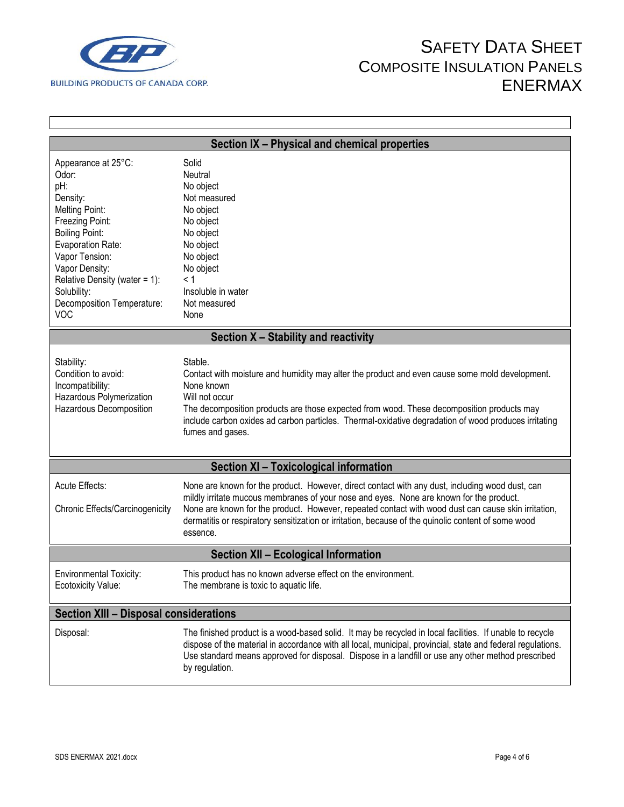

 $\Gamma$ 

## SAFETY DATA SHEET COMPOSITE INSULATION PANELS ENERMAX

 $\mathsf{l}$ 

| Section IX - Physical and chemical properties                                                                                                                                                                                                                             |                                                                                                                                                                                                                                                                                                                                                                                                                      |  |  |  |
|---------------------------------------------------------------------------------------------------------------------------------------------------------------------------------------------------------------------------------------------------------------------------|----------------------------------------------------------------------------------------------------------------------------------------------------------------------------------------------------------------------------------------------------------------------------------------------------------------------------------------------------------------------------------------------------------------------|--|--|--|
| Appearance at 25°C:<br>Odor:<br>pH:<br>Density:<br><b>Melting Point:</b><br>Freezing Point:<br><b>Boiling Point:</b><br>Evaporation Rate:<br>Vapor Tension:<br>Vapor Density:<br>Relative Density (water = 1):<br>Solubility:<br>Decomposition Temperature:<br><b>VOC</b> | Solid<br>Neutral<br>No object<br>Not measured<br>No object<br>No object<br>No object<br>No object<br>No object<br>No object<br>< 1<br>Insoluble in water<br>Not measured<br>None                                                                                                                                                                                                                                     |  |  |  |
|                                                                                                                                                                                                                                                                           | Section X - Stability and reactivity                                                                                                                                                                                                                                                                                                                                                                                 |  |  |  |
| Stability:<br>Condition to avoid:<br>Incompatibility:<br>Hazardous Polymerization<br>Hazardous Decomposition                                                                                                                                                              | Stable.<br>Contact with moisture and humidity may alter the product and even cause some mold development.<br>None known<br>Will not occur<br>The decomposition products are those expected from wood. These decomposition products may<br>include carbon oxides ad carbon particles. Thermal-oxidative degradation of wood produces irritating<br>fumes and gases.                                                   |  |  |  |
| <b>Section XI - Toxicological information</b>                                                                                                                                                                                                                             |                                                                                                                                                                                                                                                                                                                                                                                                                      |  |  |  |
| Acute Effects:<br>Chronic Effects/Carcinogenicity                                                                                                                                                                                                                         | None are known for the product. However, direct contact with any dust, including wood dust, can<br>mildly irritate mucous membranes of your nose and eyes. None are known for the product.<br>None are known for the product. However, repeated contact with wood dust can cause skin irritation,<br>dermatitis or respiratory sensitization or irritation, because of the quinolic content of some wood<br>essence. |  |  |  |
| <b>Section XII - Ecological Information</b>                                                                                                                                                                                                                               |                                                                                                                                                                                                                                                                                                                                                                                                                      |  |  |  |
| <b>Environmental Toxicity:</b><br>Ecotoxicity Value:                                                                                                                                                                                                                      | This product has no known adverse effect on the environment.<br>The membrane is toxic to aquatic life.                                                                                                                                                                                                                                                                                                               |  |  |  |
| <b>Section XIII - Disposal considerations</b>                                                                                                                                                                                                                             |                                                                                                                                                                                                                                                                                                                                                                                                                      |  |  |  |
| Disposal:                                                                                                                                                                                                                                                                 | The finished product is a wood-based solid. It may be recycled in local facilities. If unable to recycle<br>dispose of the material in accordance with all local, municipal, provincial, state and federal regulations.<br>Use standard means approved for disposal. Dispose in a landfill or use any other method prescribed<br>by regulation.                                                                      |  |  |  |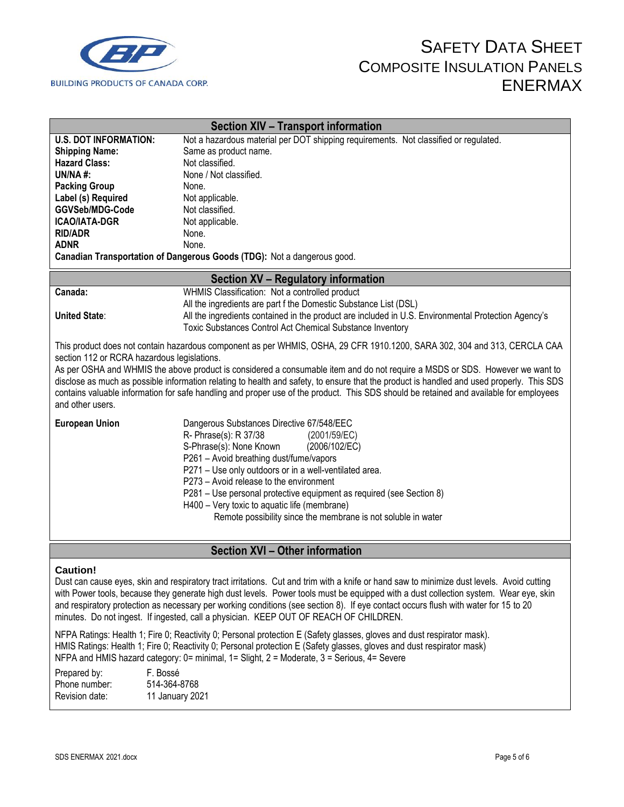

| <b>Section XIV - Transport information</b>                                                                                                                                                                                                                                                                                                                                                                                                                                                                                                                                                                          |                                                                                                                                                                                                                                                                                                                                                                                                                                                                         |  |  |
|---------------------------------------------------------------------------------------------------------------------------------------------------------------------------------------------------------------------------------------------------------------------------------------------------------------------------------------------------------------------------------------------------------------------------------------------------------------------------------------------------------------------------------------------------------------------------------------------------------------------|-------------------------------------------------------------------------------------------------------------------------------------------------------------------------------------------------------------------------------------------------------------------------------------------------------------------------------------------------------------------------------------------------------------------------------------------------------------------------|--|--|
| <b>U.S. DOT INFORMATION:</b><br><b>Shipping Name:</b><br><b>Hazard Class:</b><br>UN/NA#:                                                                                                                                                                                                                                                                                                                                                                                                                                                                                                                            | Not a hazardous material per DOT shipping requirements. Not classified or regulated.<br>Same as product name.<br>Not classified.<br>None / Not classified.                                                                                                                                                                                                                                                                                                              |  |  |
| <b>Packing Group</b><br>Label (s) Required<br>GGVSeb/MDG-Code<br><b>ICAO/IATA-DGR</b><br><b>RID/ADR</b><br><b>ADNR</b>                                                                                                                                                                                                                                                                                                                                                                                                                                                                                              | None.<br>Not applicable.<br>Not classified.<br>Not applicable.<br>None.<br>None.                                                                                                                                                                                                                                                                                                                                                                                        |  |  |
|                                                                                                                                                                                                                                                                                                                                                                                                                                                                                                                                                                                                                     | Canadian Transportation of Dangerous Goods (TDG): Not a dangerous good.                                                                                                                                                                                                                                                                                                                                                                                                 |  |  |
| <b>Section XV - Regulatory information</b>                                                                                                                                                                                                                                                                                                                                                                                                                                                                                                                                                                          |                                                                                                                                                                                                                                                                                                                                                                                                                                                                         |  |  |
| Canada:                                                                                                                                                                                                                                                                                                                                                                                                                                                                                                                                                                                                             | WHMIS Classification: Not a controlled product<br>All the ingredients are part f the Domestic Substance List (DSL)                                                                                                                                                                                                                                                                                                                                                      |  |  |
| <b>United State:</b>                                                                                                                                                                                                                                                                                                                                                                                                                                                                                                                                                                                                | All the ingredients contained in the product are included in U.S. Environmental Protection Agency's<br>Toxic Substances Control Act Chemical Substance Inventory                                                                                                                                                                                                                                                                                                        |  |  |
| This product does not contain hazardous component as per WHMIS, OSHA, 29 CFR 1910.1200, SARA 302, 304 and 313, CERCLA CAA<br>section 112 or RCRA hazardous legislations.<br>As per OSHA and WHMIS the above product is considered a consumable item and do not require a MSDS or SDS. However we want to<br>disclose as much as possible information relating to health and safety, to ensure that the product is handled and used properly. This SDS<br>contains valuable information for safe handling and proper use of the product. This SDS should be retained and available for employees<br>and other users. |                                                                                                                                                                                                                                                                                                                                                                                                                                                                         |  |  |
| <b>European Union</b>                                                                                                                                                                                                                                                                                                                                                                                                                                                                                                                                                                                               | Dangerous Substances Directive 67/548/EEC<br>R- Phrase(s): R 37/38<br>(2001/59/EC)<br>S-Phrase(s): None Known<br>(2006/102/EC)<br>P261 - Avoid breathing dust/fume/vapors<br>P271 - Use only outdoors or in a well-ventilated area.<br>P273 - Avoid release to the environment<br>P281 – Use personal protective equipment as required (see Section 8)<br>H400 - Very toxic to aquatic life (membrane)<br>Remote possibility since the membrane is not soluble in water |  |  |
| <b>Section XVI - Other information</b>                                                                                                                                                                                                                                                                                                                                                                                                                                                                                                                                                                              |                                                                                                                                                                                                                                                                                                                                                                                                                                                                         |  |  |

#### **Caution!**

Dust can cause eyes, skin and respiratory tract irritations. Cut and trim with a knife or hand saw to minimize dust levels. Avoid cutting with Power tools, because they generate high dust levels. Power tools must be equipped with a dust collection system. Wear eye, skin and respiratory protection as necessary per working conditions (see section 8). If eye contact occurs flush with water for 15 to 20 minutes. Do not ingest. If ingested, call a physician. KEEP OUT OF REACH OF CHILDREN.

NFPA Ratings: Health 1; Fire 0; Reactivity 0; Personal protection E (Safety glasses, gloves and dust respirator mask). HMIS Ratings: Health 1; Fire 0; Reactivity 0; Personal protection E (Safety glasses, gloves and dust respirator mask) NFPA and HMIS hazard category: 0= minimal, 1= Slight, 2 = Moderate, 3 = Serious, 4= Severe

| Prepared by:   | F. Bossé        |
|----------------|-----------------|
| Phone number:  | 514-364-8768    |
| Revision date: | 11 January 2021 |